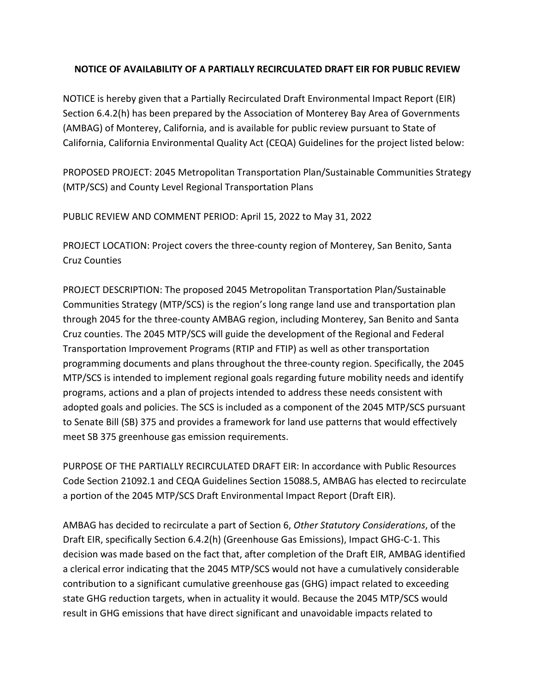## **NOTICE OF AVAILABILITY OF A PARTIALLY RECIRCULATED DRAFT EIR FOR PUBLIC REVIEW**

 NOTICE is hereby given that a Partially Recirculated Draft Environmental Impact Report (EIR) Section 6.4.2(h) has been prepared by the Association of Monterey Bay Area of Governments (AMBAG) of Monterey, California, and is available for public review pursuant to State of California, California Environmental Quality Act (CEQA) Guidelines for the project listed below:

 PROPOSED PROJECT: 2045 Metropolitan Transportation Plan/Sustainable Communities Strategy (MTP/SCS) and County Level Regional Transportation Plans

PUBLIC REVIEW AND COMMENT PERIOD: April 15, 2022 to May 31, 2022

 PROJECT LOCATION: Project covers the three‐county region of Monterey, San Benito, Santa Cruz Counties

 PROJECT DESCRIPTION: The proposed 2045 Metropolitan Transportation Plan/Sustainable Communities Strategy (MTP/SCS) is the region's long range land use and transportation plan through 2045 for the three‐county AMBAG region, including Monterey, San Benito and Santa Cruz counties. The 2045 MTP/SCS will guide the development of the Regional and Federal Transportation Improvement Programs (RTIP and FTIP) as well as other transportation programming documents and plans throughout the three‐county region. Specifically, the 2045 MTP/SCS is intended to implement regional goals regarding future mobility needs and identify programs, actions and a plan of projects intended to address these needs consistent with adopted goals and policies. The SCS is included as a component of the 2045 MTP/SCS pursuant to Senate Bill (SB) 375 and provides a framework for land use patterns that would effectively meet SB 375 greenhouse gas emission requirements.

 PURPOSE OF THE PARTIALLY RECIRCULATED DRAFT EIR: In accordance with Public Resources Code Section 21092.1 and CEQA Guidelines Section 15088.5, AMBAG has elected to recirculate a portion of the 2045 MTP/SCS Draft Environmental Impact Report (Draft EIR).

  AMBAG has decided to recirculate a part of Section 6, *Other Statutory Considerations*, of the Draft EIR, specifically Section 6.4.2(h) (Greenhouse Gas Emissions), Impact GHG‐C‐1. This decision was made based on the fact that, after completion of the Draft EIR, AMBAG identified a clerical error indicating that the 2045 MTP/SCS would not have a cumulatively considerable contribution to a significant cumulative greenhouse gas (GHG) impact related to exceeding state GHG reduction targets, when in actuality it would. Because the 2045 MTP/SCS would result in GHG emissions that have direct significant and unavoidable impacts related to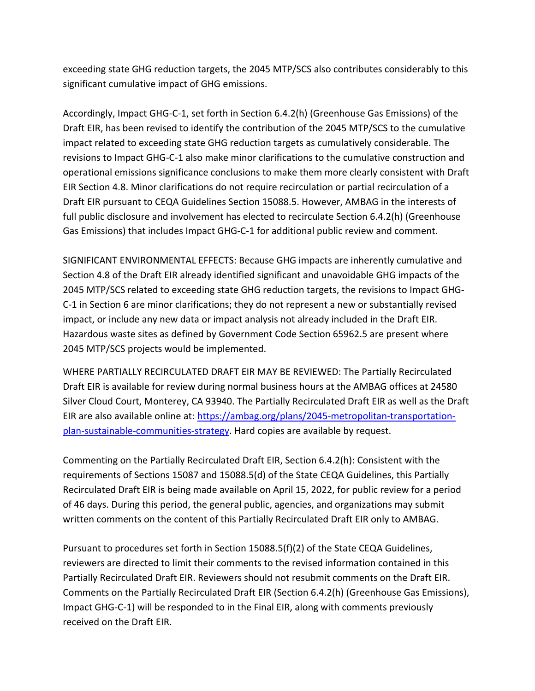exceeding state GHG reduction targets, the 2045 MTP/SCS also contributes considerably to this significant cumulative impact of GHG emissions.

 Accordingly, Impact GHG‐C‐1, set forth in Section 6.4.2(h) (Greenhouse Gas Emissions) of the Draft EIR, has been revised to identify the contribution of the 2045 MTP/SCS to the cumulative impact related to exceeding state GHG reduction targets as cumulatively considerable. The revisions to Impact GHG‐C‐1 also make minor clarifications to the cumulative construction and operational emissions significance conclusions to make them more clearly consistent with Draft EIR Section 4.8. Minor clarifications do not require recirculation or partial recirculation of a Draft EIR pursuant to CEQA Guidelines Section 15088.5. However, AMBAG in the interests of full public disclosure and involvement has elected to recirculate Section 6.4.2(h) (Greenhouse Gas Emissions) that includes Impact GHG‐C‐1 for additional public review and comment.

 SIGNIFICANT ENVIRONMENTAL EFFECTS: Because GHG impacts are inherently cumulative and Section 4.8 of the Draft EIR already identified significant and unavoidable GHG impacts of the 2045 MTP/SCS related to exceeding state GHG reduction targets, the revisions to Impact GHG‐ C‐1 in Section 6 are minor clarifications; they do not represent a new or substantially revised impact, or include any new data or impact analysis not already included in the Draft EIR. Hazardous waste sites as defined by Government Code Section 65962.5 are present where 2045 MTP/SCS projects would be implemented.

 WHERE PARTIALLY RECIRCULATED DRAFT EIR MAY BE REVIEWED: The Partially Recirculated Draft EIR is available for review during normal business hours at the AMBAG offices at 24580 Silver Cloud Court, Monterey, CA 93940. The Partially Recirculated Draft EIR as well as the Draft EIR are also available online at: [https://ambag.org/plans/2045](https://ambag.org/plans/2045-metropolitan-transportation)-metropolitan-transportationplan-sustainable-communities-strategy</u>. Hard copies are available by request.

 Commenting on the Partially Recirculated Draft EIR, Section 6.4.2(h): Consistent with the requirements of Sections 15087 and 15088.5(d) of the State CEQA Guidelines, this Partially Recirculated Draft EIR is being made available on April 15, 2022, for public review for a period of 46 days. During this period, the general public, agencies, and organizations may submit written comments on the content of this Partially Recirculated Draft EIR only to AMBAG.

 Pursuant to procedures set forth in Section 15088.5(f)(2) of the State CEQA Guidelines, reviewers are directed to limit their comments to the revised information contained in this Partially Recirculated Draft EIR. Reviewers should not resubmit comments on the Draft EIR. Comments on the Partially Recirculated Draft EIR (Section 6.4.2(h) (Greenhouse Gas Emissions), Impact GHG‐C‐1) will be responded to in the Final EIR, along with comments previously received on the Draft EIR.